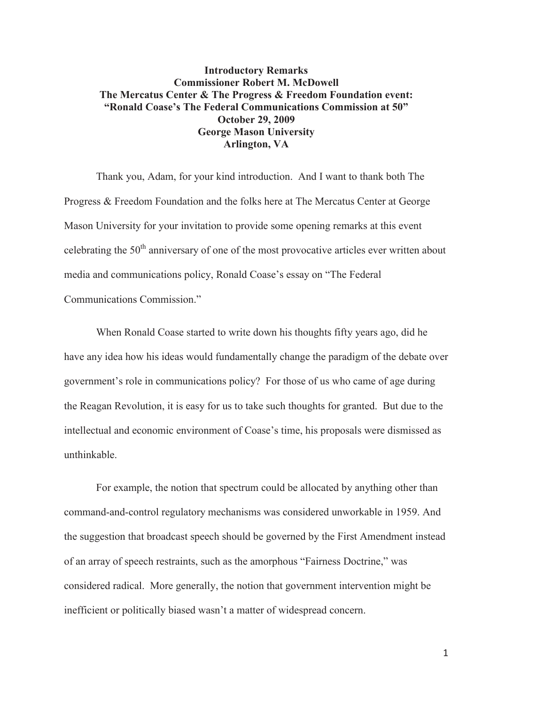## **Introductory Remarks Commissioner Robert M. McDowell The Mercatus Center & The Progress & Freedom Foundation event: "Ronald Coase's The Federal Communications Commission at 50" October 29, 2009 George Mason University Arlington, VA**

Thank you, Adam, for your kind introduction. And I want to thank both The Progress & Freedom Foundation and the folks here at The Mercatus Center at George Mason University for your invitation to provide some opening remarks at this event celebrating the  $50<sup>th</sup>$  anniversary of one of the most provocative articles ever written about media and communications policy, Ronald Coase's essay on "The Federal Communications Commission."

When Ronald Coase started to write down his thoughts fifty years ago, did he have any idea how his ideas would fundamentally change the paradigm of the debate over government's role in communications policy? For those of us who came of age during the Reagan Revolution, it is easy for us to take such thoughts for granted. But due to the intellectual and economic environment of Coase's time, his proposals were dismissed as unthinkable.

For example, the notion that spectrum could be allocated by anything other than command-and-control regulatory mechanisms was considered unworkable in 1959. And the suggestion that broadcast speech should be governed by the First Amendment instead of an array of speech restraints, such as the amorphous "Fairness Doctrine," was considered radical. More generally, the notion that government intervention might be inefficient or politically biased wasn't a matter of widespread concern.

1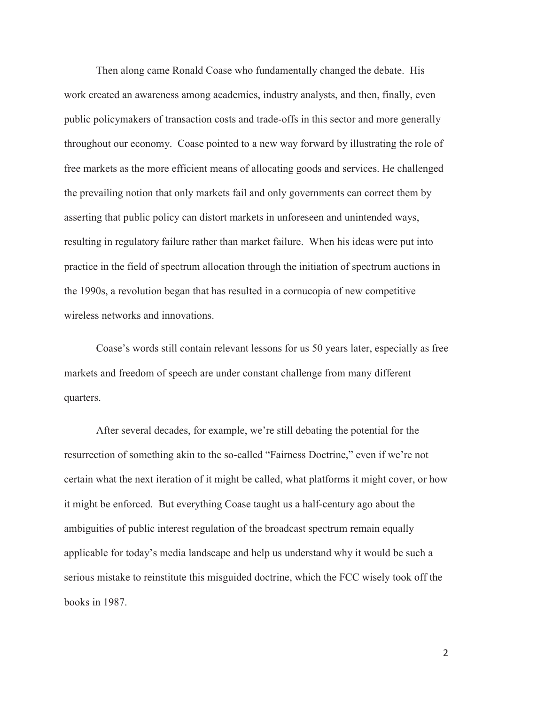Then along came Ronald Coase who fundamentally changed the debate. His work created an awareness among academics, industry analysts, and then, finally, even public policymakers of transaction costs and trade-offs in this sector and more generally throughout our economy. Coase pointed to a new way forward by illustrating the role of free markets as the more efficient means of allocating goods and services. He challenged the prevailing notion that only markets fail and only governments can correct them by asserting that public policy can distort markets in unforeseen and unintended ways, resulting in regulatory failure rather than market failure. When his ideas were put into practice in the field of spectrum allocation through the initiation of spectrum auctions in the 1990s, a revolution began that has resulted in a cornucopia of new competitive wireless networks and innovations.

Coase's words still contain relevant lessons for us 50 years later, especially as free markets and freedom of speech are under constant challenge from many different quarters.

After several decades, for example, we're still debating the potential for the resurrection of something akin to the so-called "Fairness Doctrine," even if we're not certain what the next iteration of it might be called, what platforms it might cover, or how it might be enforced. But everything Coase taught us a half-century ago about the ambiguities of public interest regulation of the broadcast spectrum remain equally applicable for today's media landscape and help us understand why it would be such a serious mistake to reinstitute this misguided doctrine, which the FCC wisely took off the books in 1987.

 $\mathfrak{D}$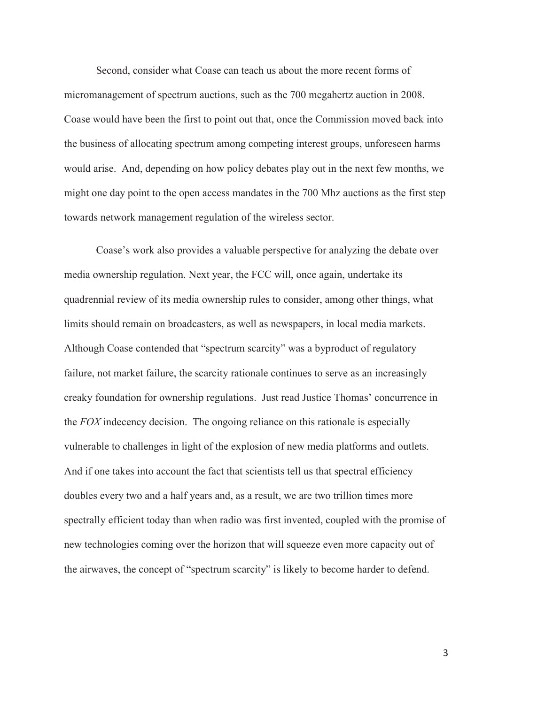Second, consider what Coase can teach us about the more recent forms of micromanagement of spectrum auctions, such as the 700 megahertz auction in 2008. Coase would have been the first to point out that, once the Commission moved back into the business of allocating spectrum among competing interest groups, unforeseen harms would arise. And, depending on how policy debates play out in the next few months, we might one day point to the open access mandates in the 700 Mhz auctions as the first step towards network management regulation of the wireless sector.

Coase's work also provides a valuable perspective for analyzing the debate over media ownership regulation. Next year, the FCC will, once again, undertake its quadrennial review of its media ownership rules to consider, among other things, what limits should remain on broadcasters, as well as newspapers, in local media markets. Although Coase contended that "spectrum scarcity" was a byproduct of regulatory failure, not market failure, the scarcity rationale continues to serve as an increasingly creaky foundation for ownership regulations. Just read Justice Thomas' concurrence in the *FOX* indecency decision. The ongoing reliance on this rationale is especially vulnerable to challenges in light of the explosion of new media platforms and outlets. And if one takes into account the fact that scientists tell us that spectral efficiency doubles every two and a half years and, as a result, we are two trillion times more spectrally efficient today than when radio was first invented, coupled with the promise of new technologies coming over the horizon that will squeeze even more capacity out of the airwaves, the concept of "spectrum scarcity" is likely to become harder to defend.

3